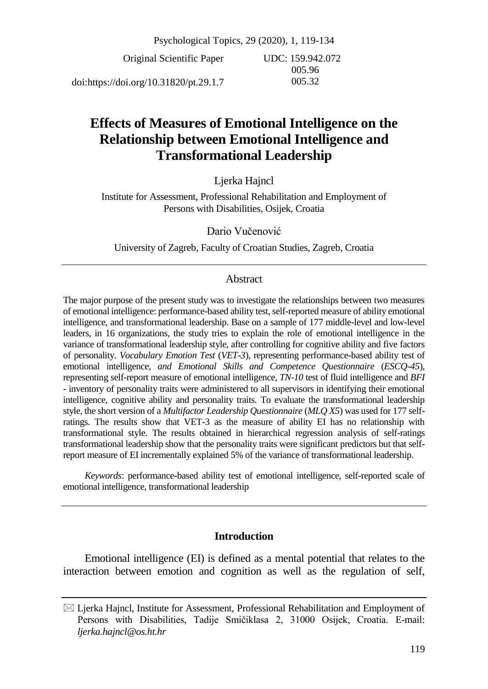Psychological Topics, 29 (2020), 1, 119-134 Original Scientific Paper doi:https://doi.org/10.31820/pt.29.1.7 UDC: 159.942.072 005.96 005.32

# **Effects of Measures of Emotional Intelligence on the Relationship between Emotional Intelligence and Transformational Leadership**

Ljerka Hajncl

Institute for Assessment, Professional Rehabilitation and Employment of Persons with Disabilities, Osijek, Croatia

Dario Vučenović

University of Zagreb, Faculty of Croatian Studies, Zagreb, Croatia

# Abstract

The major purpose of the present study was to investigate the relationships between two measures of emotional intelligence: performance-based ability test, self-reported measure of ability emotional intelligence, and transformational leadership. Base on a sample of 177 middle-level and low-level leaders, in 16 organizations, the study tries to explain the role of emotional intelligence in the variance of transformational leadership style, after controlling for cognitive ability and five factors of personality. *Vocabulary Emotion Test* (*VET-3*), representing performance-based ability test of emotional intelligence, *and Emotional Skills and Competence Questionnaire* (*ESCQ-45*), representing self-report measure of emotional intelligence, *TN-10* test of fluid intelligence and *BFI* - inventory of personality traits were administered to all supervisors in identifying their emotional intelligence, cognitive ability and personality traits. To evaluate the transformational leadership style, the short version of a *Multifactor Leadership Questionnaire* (*MLQ X5*) was used for 177 selfratings. The results show that VET-3 as the measure of ability EI has no relationship with transformational style. The results obtained in hierarchical regression analysis of self-ratings transformational leadership show that the personality traits were significant predictors but that selfreport measure of EI incrementally explained 5% of the variance of transformational leadership.

*Keywords*: performance-based ability test of emotional intelligence, self-reported scale of emotional intelligence, transformational leadership

# **Introduction**

Emotional intelligence (EI) is defined as a mental potential that relates to the interaction between emotion and cognition as well as the regulation of self,

 $\boxtimes$  Ljerka Hajncl, Institute for Assessment, Professional Rehabilitation and Employment of Persons with Disabilities, Tadije Smičiklasa 2, 31000 Osijek, Croatia. E-mail: *ljerka.hajncl@os.ht.hr*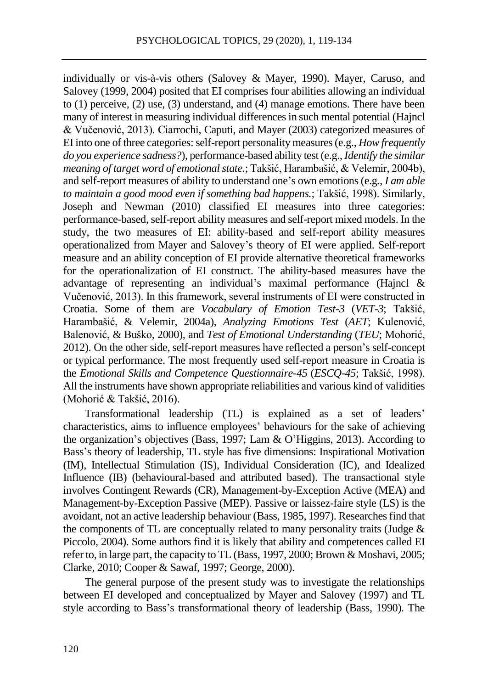individually or vis-à-vis others (Salovey & Mayer, 1990). Mayer, Caruso, and Salovey (1999, 2004) posited that EI comprises four abilities allowing an individual to (1) perceive, (2) use, (3) understand, and (4) manage emotions. There have been many of interest in measuring individual differences in such mental potential (Hajncl & Vučenović, 2013). Ciarrochi, Caputi, and Mayer (2003) categorized measures of EI into one of three categories: self-report personality measures (e.g., *How frequently do you experience sadness?*), performance-based ability test (e.g.,*Identify the similar meaning of target word of emotional state.*; Takšić, Harambašić, & Velemir, 2004b), and self-report measures of ability to understand one's own emotions (e.g*., I am able to maintain a good mood even if something bad happens.*; Takšić, 1998). Similarly, Joseph and Newman (2010) classified EI measures into three categories: performance-based, self-report ability measures and self-report mixed models. In the study, the two measures of EI: ability-based and self-report ability measures operationalized from Mayer and Salovey's theory of EI were applied. Self-report measure and an ability conception of EI provide alternative theoretical frameworks for the operationalization of EI construct. The ability-based measures have the advantage of representing an individual's maximal performance (Hajncl & Vučenović, 2013). In this framework, several instruments of EI were constructed in Croatia. Some of them are *Vocabulary of Emotion Test-3* (*VET-3*; Takšić, Harambašić, & Velemir, 2004a), *Analyzing Emotions Test* (*AET*; Kulenović, Balenović, & Buško, 2000), and *Test of Emotional Understanding* (*TEU*; Mohorić, 2012). On the other side, self-report measures have reflected a person's self-concept or typical performance. The most frequently used self-report measure in Croatia is the *Emotional Skills and Competence Questionnaire-45* (*ESCQ-45*; Takšić, 1998). All the instruments have shown appropriate reliabilities and various kind of validities (Mohorić & Takšić, 2016).

Transformational leadership (TL) is explained as a set of leaders' characteristics, aims to influence employees' behaviours for the sake of achieving the organization's objectives (Bass, 1997; Lam & O'Higgins, 2013). According to Bass's theory of leadership, TL style has five dimensions: Inspirational Motivation (IM), Intellectual Stimulation (IS), Individual Consideration (IC), and Idealized Influence (IB) (behavioural-based and attributed based). The transactional style involves Contingent Rewards (CR), Management-by-Exception Active (MEA) and Management-by-Exception Passive (MEP). Passive or laissez-faire style (LS) is the avoidant, not an active leadership behaviour (Bass, 1985, 1997). Researches find that the components of TL are conceptually related to many personality traits (Judge  $\&$ Piccolo, 2004). Some authors find it is likely that ability and competences called EI refer to, in large part, the capacity to TL (Bass, 1997, 2000; Brown & Moshavi, 2005; Clarke, 2010; Cooper & Sawaf, 1997; George, 2000).

The general purpose of the present study was to investigate the relationships between EI developed and conceptualized by Mayer and Salovey (1997) and TL style according to Bass's transformational theory of leadership (Bass, 1990). The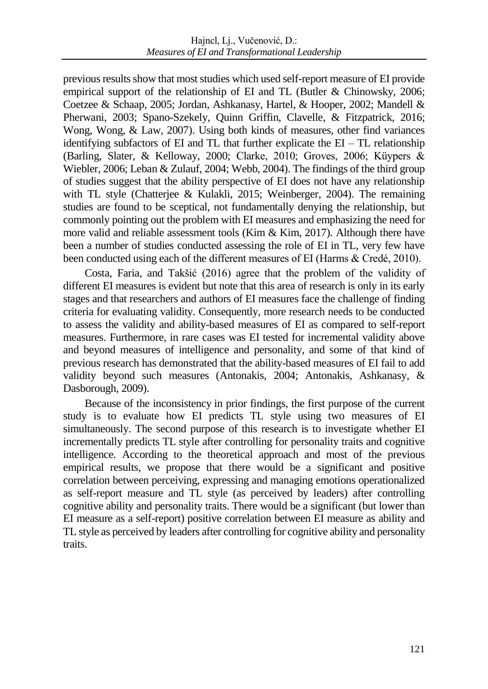previous results show that most studies which used self-report measure of EI provide empirical support of the relationship of EI and TL (Butler & Chinowsky, 2006; Coetzee & Schaap, 2005; Jordan, Ashkanasy, Hartel, & Hooper, 2002; Mandell & Pherwani, 2003; Spano-Szekely, Quinn Griffin, Clavelle, & Fitzpatrick, 2016; Wong, Wong, & Law, 2007). Using both kinds of measures, other find variances identifying subfactors of EI and TL that further explicate the  $EI - TL$  relationship (Barling, Slater, & Kelloway, 2000; Clarke, 2010; Groves, 2006; Küypers & Wiebler, 2006; Leban & Zulauf, 2004; Webb, 2004). The findings of the third group of studies suggest that the ability perspective of EI does not have any relationship with TL style (Chatterjee & Kulakli, 2015; Weinberger, 2004). The remaining studies are found to be sceptical, not fundamentally denying the relationship, but commonly pointing out the problem with EI measures and emphasizing the need for more valid and reliable assessment tools (Kim & Kim, 2017). Although there have been a number of studies conducted assessing the role of EI in TL, very few have been conducted using each of the different measures of EI (Harms & Credé, 2010).

Costa, Faria, and Takšić (2016) agree that the problem of the validity of different EI measures is evident but note that this area of research is only in its early stages and that researchers and authors of EI measures face the challenge of finding criteria for evaluating validity. Consequently, more research needs to be conducted to assess the validity and ability-based measures of EI as compared to self-report measures. Furthermore, in rare cases was EI tested for incremental validity above and beyond measures of intelligence and personality, and some of that kind of previous research has demonstrated that the ability-based measures of EI fail to add validity beyond such measures (Antonakis, 2004; Antonakis, Ashkanasy, & Dasborough, 2009).

Because of the inconsistency in prior findings, the first purpose of the current study is to evaluate how EI predicts TL style using two measures of EI simultaneously. The second purpose of this research is to investigate whether EI incrementally predicts TL style after controlling for personality traits and cognitive intelligence. According to the theoretical approach and most of the previous empirical results, we propose that there would be a significant and positive correlation between perceiving, expressing and managing emotions operationalized as self-report measure and TL style (as perceived by leaders) after controlling cognitive ability and personality traits. There would be a significant (but lower than EI measure as a self-report) positive correlation between EI measure as ability and TL style as perceived by leaders after controlling for cognitive ability and personality traits.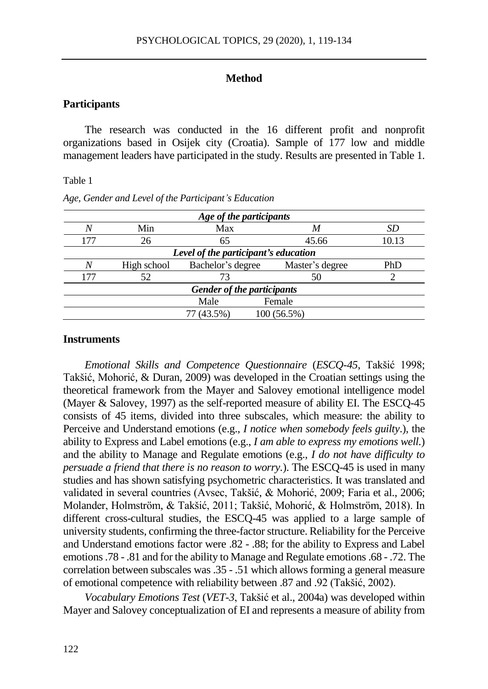# **Method**

# **Participants**

The research was conducted in the 16 different profit and nonprofit organizations based in Osijek city (Croatia). Sample of 177 low and middle management leaders have participated in the study. Results are presented in Table 1.

#### Table 1

| Age of the participants              |             |                   |                 |       |  |  |  |  |  |
|--------------------------------------|-------------|-------------------|-----------------|-------|--|--|--|--|--|
| N                                    | Min         | Max               | M               | SD    |  |  |  |  |  |
| 177                                  | 26          | 65                | 45.66           | 10.13 |  |  |  |  |  |
| Level of the participant's education |             |                   |                 |       |  |  |  |  |  |
| N                                    | High school | Bachelor's degree | Master's degree | PhD   |  |  |  |  |  |
| 177                                  | 52          |                   | 50              |       |  |  |  |  |  |
| Gender of the participants           |             |                   |                 |       |  |  |  |  |  |
|                                      |             | Male              | Female          |       |  |  |  |  |  |
|                                      |             | $(43.5\%)$        | 100 (56.5%)     |       |  |  |  |  |  |

*Age, Gender and Level of the Participant's Education*

#### **Instruments**

*Emotional Skills and Competence Questionnaire* (*ESCQ-45*, Takšić 1998; Takšić, Mohorić, & Duran, 2009) was developed in the Croatian settings using the theoretical framework from the Mayer and Salovey emotional intelligence model (Mayer & Salovey, 1997) as the self-reported measure of ability EI. The ESCQ-45 consists of 45 items, divided into three subscales, which measure: the ability to Perceive and Understand emotions (e.g., *I notice when somebody feels guilty*.), the ability to Express and Label emotions (e.g., *I am able to express my emotions well.*) and the ability to Manage and Regulate emotions (e.g., *I do not have difficulty to persuade a friend that there is no reason to worry.*). The ESCQ-45 is used in many studies and has shown satisfying psychometric characteristics. It was translated and validated in several countries (Avsec, Takšić, & Mohorić, 2009; Faria et al., 2006; Molander, Holmström, & Takšić, 2011; Takšić, Mohorić, & Holmström, 2018). In different cross-cultural studies, the ESCQ-45 was applied to a large sample of university students, confirming the three-factor structure. Reliability for the Perceive and Understand emotions factor were .82 - .88; for the ability to Express and Label emotions .78 - .81 and for the ability to Manage and Regulate emotions .68 - .72. The correlation between subscales was .35 - .51 which allows forming a general measure of emotional competence with reliability between .87 and .92 (Takšić, 2002).

*Vocabulary Emotions Test* (*VET-3*, Takšić et al., 2004a) was developed within Mayer and Salovey conceptualization of EI and represents a measure of ability from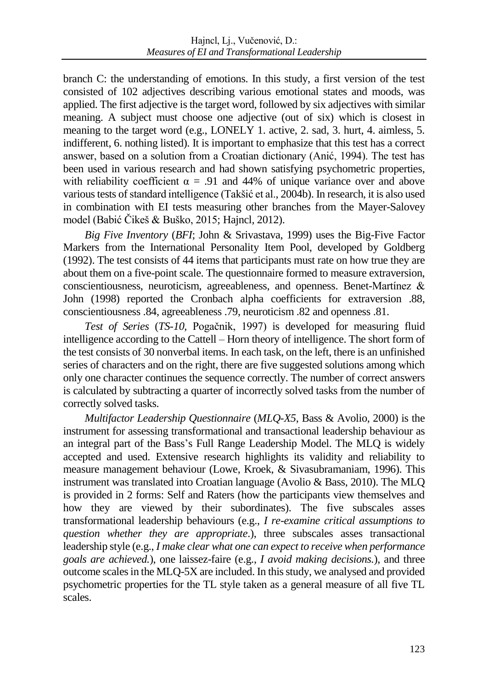branch C: the understanding of emotions. In this study, a first version of the test consisted of 102 adjectives describing various emotional states and moods, was applied. The first adjective is the target word, followed by six adjectives with similar meaning. A subject must choose one adjective (out of six) which is closest in meaning to the target word (e.g., LONELY 1. active, 2. sad, 3. hurt, 4. aimless, 5. indifferent, 6. nothing listed). It is important to emphasize that this test has a correct answer, based on a solution from a Croatian dictionary (Anić, 1994). The test has been used in various research and had shown satisfying psychometric properties, with reliability coefficient  $\alpha = .91$  and 44% of unique variance over and above various tests of standard intelligence (Takšić et al., 2004b). In research, it is also used in combination with EI tests measuring other branches from the Mayer-Salovey model (Babić Čikeš & Buško, 2015; Hajncl, 2012).

*Big Five Inventory* (*BFI*; John & Srivastava, 1999) uses the Big-Five Factor Markers from the International Personality Item Pool, developed by Goldberg (1992). The test consists of 44 items that participants must rate on how true they are about them on a five-point scale. The questionnaire formed to measure extraversion, conscientiousness, neuroticism, agreeableness, and openness. Benet-Martínez & John (1998) reported the Cronbach alpha coefficients for extraversion .88, conscientiousness .84, agreeableness .79, neuroticism .82 and openness .81.

*Test of Series* (*TS-10,* Pogačnik, 1997) is developed for measuring fluid intelligence according to the Cattell – Horn theory of intelligence. The short form of the test consists of 30 nonverbal items. In each task, on the left, there is an unfinished series of characters and on the right, there are five suggested solutions among which only one character continues the sequence correctly. The number of correct answers is calculated by subtracting a quarter of incorrectly solved tasks from the number of correctly solved tasks.

*Multifactor Leadership Questionnaire* (*MLQ-X5*, Bass & Avolio, 2000) is the instrument for assessing transformational and transactional leadership behaviour as an integral part of the Bass's Full Range Leadership Model. The MLQ is widely accepted and used. Extensive research highlights its validity and reliability to measure management behaviour (Lowe, Kroek, & Sivasubramaniam, 1996). This instrument was translated into Croatian language (Avolio & Bass, 2010). The MLQ is provided in 2 forms: Self and Raters (how the participants view themselves and how they are viewed by their subordinates). The five subscales asses transformational leadership behaviours (e.g., *I re-examine critical assumptions to question whether they are appropriate*.), three subscales asses transactional leadership style (e.g., *I make clear what one can expect to receive when performance goals are achieved.*), one laissez-faire (e.g., *I avoid making decisions.*), and three outcome scales in the MLQ-5X are included. In this study, we analysed and provided psychometric properties for the TL style taken as a general measure of all five TL scales.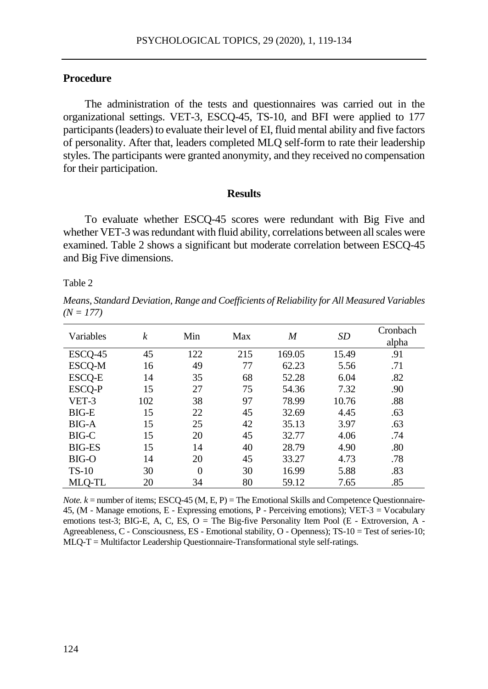# **Procedure**

The administration of the tests and questionnaires was carried out in the organizational settings. VET-3, ESCQ-45, TS-10, and BFI were applied to 177 participants (leaders) to evaluate their level of EI, fluid mental ability and five factors of personality. After that, leaders completed MLQ self-form to rate their leadership styles. The participants were granted anonymity, and they received no compensation for their participation.

#### **Results**

To evaluate whether ESCQ-45 scores were redundant with Big Five and whether VET-3 was redundant with fluid ability, correlations between all scales were examined. Table 2 shows a significant but moderate correlation between ESCQ-45 and Big Five dimensions.

Table 2

*Means, Standard Deviation, Range and Coefficients of Reliability for All Measured Variables*  $(N = 177)$ 

| Variables     | $\boldsymbol{k}$ | Min      | Max | M      | <b>SD</b> | Cronbach |
|---------------|------------------|----------|-----|--------|-----------|----------|
|               |                  |          |     |        |           | alpha    |
| ESCQ-45       | 45               | 122      | 215 | 169.05 | 15.49     | .91      |
| ESCQ-M        | 16               | 49       | 77  | 62.23  | 5.56      | .71      |
| <b>ESCQ-E</b> | 14               | 35       | 68  | 52.28  | 6.04      | .82      |
| ESCQ-P        | 15               | 27       | 75  | 54.36  | 7.32      | .90      |
| VET-3         | 102              | 38       | 97  | 78.99  | 10.76     | .88      |
| $BIG-E$       | 15               | 22       | 45  | 32.69  | 4.45      | .63      |
| <b>BIG-A</b>  | 15               | 25       | 42  | 35.13  | 3.97      | .63      |
| BIG-C         | 15               | 20       | 45  | 32.77  | 4.06      | .74      |
| <b>BIG-ES</b> | 15               | 14       | 40  | 28.79  | 4.90      | .80      |
| BIG-O         | 14               | 20       | 45  | 33.27  | 4.73      | .78      |
| $TS-10$       | 30               | $\theta$ | 30  | 16.99  | 5.88      | .83      |
| MLQ-TL        | 20               | 34       | 80  | 59.12  | 7.65      | .85      |

*Note.*  $k =$  number of items; ESCQ-45 (M, E, P) = The Emotional Skills and Competence Questionnaire-45, (M - Manage emotions, E - Expressing emotions, P - Perceiving emotions); VET-3 = Vocabulary emotions test-3; BIG-E, A, C, ES, O = The Big-five Personality Item Pool (E - Extroversion, A -Agreeableness, C - Consciousness, ES - Emotional stability, O - Openness); TS-10 = Test of series-10; MLQ-T = Multifactor Leadership Questionnaire-Transformational style self-ratings.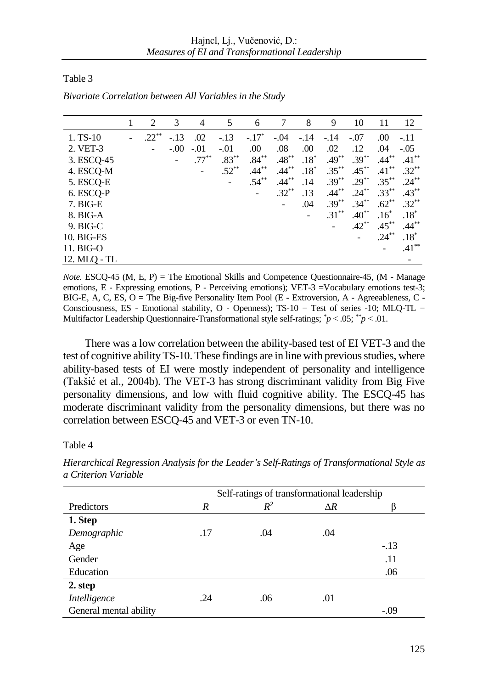Table 3

|              | 1 | 2                        | 3      | 4        | 5        | 6        | 7        | 8      | 9        | 10       | 11       | 12       |
|--------------|---|--------------------------|--------|----------|----------|----------|----------|--------|----------|----------|----------|----------|
| $1. TS-10$   |   | $.22***$                 | $-.13$ | .02      | $-.13$   | $-.17*$  | $-.04$   | $-.14$ | $-.14$   | $-.07$   | .00      | $-11$    |
| 2. VET-3     |   | $\overline{\phantom{a}}$ | $-.00$ | $-.01$   | $-.01$   | .00      | .08      | .00    | .02      | .12      | .04      | $-.05$   |
| 3. ESCQ-45   |   |                          |        | $.77***$ | $.83***$ | $.84***$ | $.48***$ | $.18*$ | $.49***$ | $.39***$ | $.44***$ | $.41***$ |
| 4. ESCQ-M    |   |                          |        |          | $.52***$ | $.44***$ | $.44***$ | $.18*$ | $.35***$ | $.45***$ | $.41***$ | $.32***$ |
| 5. ESCQ-E    |   |                          |        |          |          | $.54***$ | $.44***$ | .14    | $.39***$ | $.29***$ | $.35***$ | $.24***$ |
| 6. ESCQ-P    |   |                          |        |          |          | -        | $.32***$ | .13    | $.44***$ | $.24***$ | $.33***$ | $.43***$ |
| 7. BIG-E     |   |                          |        |          |          |          |          | .04    | $.39***$ | $.34***$ | $.62***$ | $.32***$ |
| 8. BIG-A     |   |                          |        |          |          |          |          |        | $.31***$ | $.40**$  | $.16*$   | $.18*$   |
| $9.$ BIG-C   |   |                          |        |          |          |          |          |        | Ξ.       | $.42***$ | $.45***$ | $.44***$ |
| 10. BIG-ES   |   |                          |        |          |          |          |          |        |          | -        | $.24***$ | $.18*$   |
| 11. BIG-O    |   |                          |        |          |          |          |          |        |          |          |          | $.41***$ |
| 12. MLQ - TL |   |                          |        |          |          |          |          |        |          |          |          |          |

*Bivariate Correlation between All Variables in the Study*

*Note.* ESCQ-45 (M, E, P) = The Emotional Skills and Competence Questionnaire-45, (M - Manage emotions, E - Expressing emotions, P - Perceiving emotions); VET-3 =Vocabulary emotions test-3; BIG-E, A, C, ES,  $O =$  The Big-five Personality Item Pool (E - Extroversion, A - Agreeableness, C -Consciousness, ES - Emotional stability, O - Openness); TS-10 = Test of series -10; MLQ-TL = Multifactor Leadership Questionnaire-Transformational style self-ratings; *\*p* < .05; *\*\*p* < .01.

There was a low correlation between the ability-based test of EI VET-3 and the test of cognitive ability TS-10. These findings are in line with previous studies, where ability-based tests of EI were mostly independent of personality and intelligence (Takšić et al., 2004b). The VET-3 has strong discriminant validity from Big Five personality dimensions, and low with fluid cognitive ability. The ESCQ-45 has moderate discriminant validity from the personality dimensions, but there was no correlation between ESCQ-45 and VET-3 or even TN-10.

#### Table 4

|                        | Self-ratings of transformational leadership |       |            |        |  |  |  |
|------------------------|---------------------------------------------|-------|------------|--------|--|--|--|
| Predictors             | R                                           | $R^2$ | $\Delta R$ |        |  |  |  |
| 1. Step                |                                             |       |            |        |  |  |  |
| Demographic            | .17                                         | .04   | .04        |        |  |  |  |
| Age                    |                                             |       |            | $-.13$ |  |  |  |
| Gender                 |                                             |       |            | .11    |  |  |  |
| Education              |                                             |       |            | .06    |  |  |  |
| 2. step                |                                             |       |            |        |  |  |  |
| Intelligence           | .24                                         | .06   | .01        |        |  |  |  |
| General mental ability |                                             |       |            | $-.09$ |  |  |  |

*Hierarchical Regression Analysis for the Leader's Self-Ratings of Transformational Style as a Criterion Variable*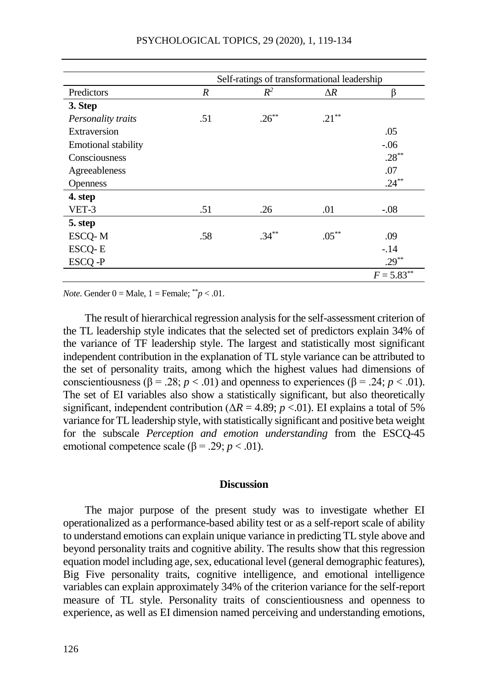|                            | Self-ratings of transformational leadership |          |            |               |  |
|----------------------------|---------------------------------------------|----------|------------|---------------|--|
| Predictors                 | R                                           | $R^2$    | $\Delta R$ | β             |  |
| 3. Step                    |                                             |          |            |               |  |
| Personality traits         | .51                                         | $.26***$ | $.21***$   |               |  |
| Extraversion               |                                             |          |            | .05           |  |
| <b>Emotional stability</b> |                                             |          |            | $-.06$        |  |
| Consciousness              |                                             |          |            | $.28***$      |  |
| Agreeableness              |                                             |          |            | .07           |  |
| Openness                   |                                             |          |            | $.24***$      |  |
| 4. step                    |                                             |          |            |               |  |
| VET-3                      | .51                                         | .26      | .01        | $-.08$        |  |
| 5. step                    |                                             |          |            |               |  |
| ESCQ-M                     | .58                                         | $.34***$ | $.05***$   | .09           |  |
| ESCQ-E                     |                                             |          |            | $-.14$        |  |
| ESCO-P                     |                                             |          |            | $.29***$      |  |
|                            |                                             |          |            | $F = 5.83***$ |  |

*Note*. Gender  $0 =$  Male,  $1 =$  Female;  $*^*p < .01$ .

The result of hierarchical regression analysis for the self-assessment criterion of the TL leadership style indicates that the selected set of predictors explain 34% of the variance of TF leadership style. The largest and statistically most significant independent contribution in the explanation of TL style variance can be attributed to the set of personality traits, among which the highest values had dimensions of conscientiousness ( $\beta = .28$ ; *p* < .01) and openness to experiences ( $\beta = .24$ ; *p* < .01). The set of EI variables also show a statistically significant, but also theoretically significant, independent contribution ( $\Delta R = 4.89$ ; *p* <.01). EI explains a total of 5% variance for TL leadership style, with statistically significant and positive beta weight for the subscale *Perception and emotion understanding* from the ESCQ-45 emotional competence scale (β = .29; *p* < .01).

#### **Discussion**

The major purpose of the present study was to investigate whether EI operationalized as a performance-based ability test or as a self-report scale of ability to understand emotions can explain unique variance in predicting TL style above and beyond personality traits and cognitive ability. The results show that this regression equation model including age, sex, educational level (general demographic features), Big Five personality traits, cognitive intelligence, and emotional intelligence variables can explain approximately 34% of the criterion variance for the self-report measure of TL style. Personality traits of conscientiousness and openness to experience, as well as EI dimension named perceiving and understanding emotions,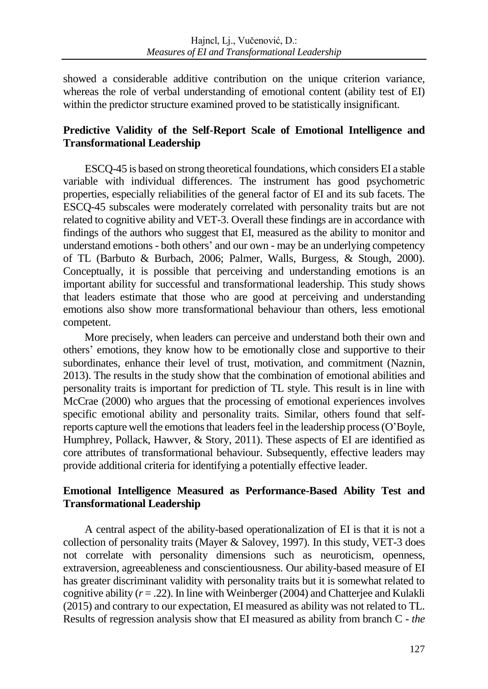showed a considerable additive contribution on the unique criterion variance, whereas the role of verbal understanding of emotional content (ability test of EI) within the predictor structure examined proved to be statistically insignificant.

# **Predictive Validity of the Self-Report Scale of Emotional Intelligence and Transformational Leadership**

ESCQ-45 is based on strong theoretical foundations, which considers EI a stable variable with individual differences. The instrument has good psychometric properties, especially reliabilities of the general factor of EI and its sub facets. The ESCQ-45 subscales were moderately correlated with personality traits but are not related to cognitive ability and VET-3. Overall these findings are in accordance with findings of the authors who suggest that EI, measured as the ability to monitor and understand emotions - both others' and our own - may be an underlying competency of TL (Barbuto & Burbach, 2006; Palmer, Walls, Burgess, & Stough, 2000). Conceptually, it is possible that perceiving and understanding emotions is an important ability for successful and transformational leadership. This study shows that leaders estimate that those who are good at perceiving and understanding emotions also show more transformational behaviour than others, less emotional competent.

More precisely, when leaders can perceive and understand both their own and others' emotions, they know how to be emotionally close and supportive to their subordinates, enhance their level of trust, motivation, and commitment (Naznin, 2013). The results in the study show that the combination of emotional abilities and personality traits is important for prediction of TL style. This result is in line with McCrae (2000) who argues that the processing of emotional experiences involves specific emotional ability and personality traits. Similar, others found that selfreports capture well the emotions that leaders feel in the leadership process (O'Boyle, Humphrey, Pollack, Hawver, & Story, 2011). These aspects of EI are identified as core attributes of transformational behaviour. Subsequently, effective leaders may provide additional criteria for identifying a potentially effective leader.

# **Emotional Intelligence Measured as Performance-Based Ability Test and Transformational Leadership**

A central aspect of the ability-based operationalization of EI is that it is not a collection of personality traits (Mayer & Salovey, 1997). In this study, VET-3 does not correlate with personality dimensions such as neuroticism, openness, extraversion, agreeableness and conscientiousness. Our ability-based measure of EI has greater discriminant validity with personality traits but it is somewhat related to cognitive ability  $(r = .22)$ . In line with Weinberger (2004) and Chatterjee and Kulakli (2015) and contrary to our expectation, EI measured as ability was not related to TL. Results of regression analysis show that EI measured as ability from branch C - *the*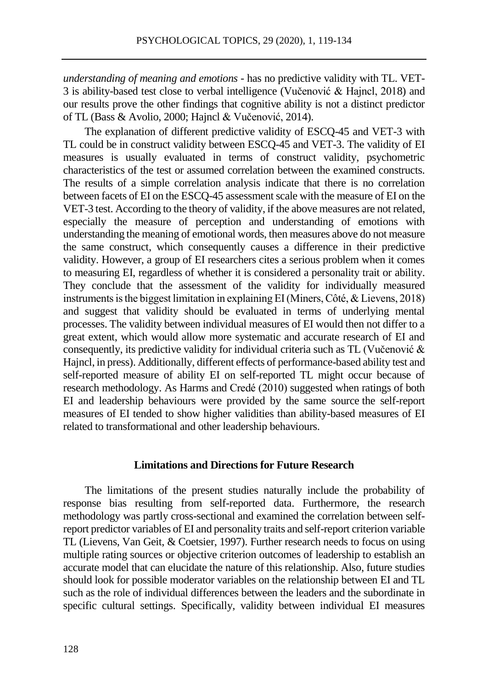*understanding of meaning and emotions -* has no predictive validity with TL. VET-3 is ability-based test close to verbal intelligence (Vučenović & Hajncl, 2018) and our results prove the other findings that cognitive ability is not a distinct predictor of TL (Bass & Avolio, 2000; Hajncl & Vučenović, 2014).

The explanation of different predictive validity of ESCQ-45 and VET-3 with TL could be in construct validity between ESCQ-45 and VET-3. The validity of EI measures is usually evaluated in terms of construct validity, psychometric characteristics of the test or assumed correlation between the examined constructs. The results of a simple correlation analysis indicate that there is no correlation between facets of EI on the ESCQ-45 assessment scale with the measure of EI on the VET-3 test. According to the theory of validity, if the above measures are not related, especially the measure of perception and understanding of emotions with understanding the meaning of emotional words, then measures above do not measure the same construct, which consequently causes a difference in their predictive validity. However, a group of EI researchers cites a serious problem when it comes to measuring EI, regardless of whether it is considered a personality trait or ability. They conclude that the assessment of the validity for individually measured instruments is the biggest limitation in explaining EI (Miners, Côté, & Lievens, 2018) and suggest that validity should be evaluated in terms of underlying mental processes. The validity between individual measures of EI would then not differ to a great extent, which would allow more systematic and accurate research of EI and consequently, its predictive validity for individual criteria such as TL (Vučenović & Hajncl, in press). Additionally, different effects of performance-based ability test and self-reported measure of ability EI on self-reported TL might occur because of research methodology. As Harms and Credé (2010) suggested when ratings of both EI and leadership behaviours were provided by the same source the self-report measures of EI tended to show higher validities than ability-based measures of EI related to transformational and other leadership behaviours.

### **Limitations and Directions for Future Research**

The limitations of the present studies naturally include the probability of response bias resulting from self-reported data. Furthermore, the research methodology was partly cross-sectional and examined the correlation between selfreport predictor variables of EI and personality traits and self-report criterion variable TL (Lievens, Van Geit, & Coetsier, 1997). Further research needs to focus on using multiple rating sources or objective criterion outcomes of leadership to establish an accurate model that can elucidate the nature of this relationship. Also, future studies should look for possible moderator variables on the relationship between EI and TL such as the role of individual differences between the leaders and the subordinate in specific cultural settings. Specifically, validity between individual EI measures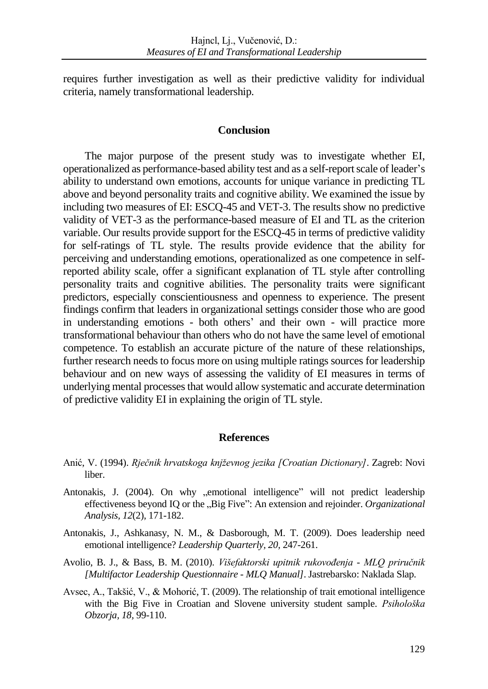requires further investigation as well as their predictive validity for individual criteria, namely transformational leadership.

# **Conclusion**

The major purpose of the present study was to investigate whether EI, operationalized as performance-based ability test and as a self-report scale of leader's ability to understand own emotions, accounts for unique variance in predicting TL above and beyond personality traits and cognitive ability. We examined the issue by including two measures of EI: ESCQ-45 and VET-3. The results show no predictive validity of VET-3 as the performance-based measure of EI and TL as the criterion variable. Our results provide support for the ESCQ-45 in terms of predictive validity for self-ratings of TL style. The results provide evidence that the ability for perceiving and understanding emotions, operationalized as one competence in selfreported ability scale, offer a significant explanation of TL style after controlling personality traits and cognitive abilities. The personality traits were significant predictors, especially conscientiousness and openness to experience. The present findings confirm that leaders in organizational settings consider those who are good in understanding emotions - both others' and their own - will practice more transformational behaviour than others who do not have the same level of emotional competence. To establish an accurate picture of the nature of these relationships, further research needs to focus more on using multiple ratings sources for leadership behaviour and on new ways of assessing the validity of EI measures in terms of underlying mental processes that would allow systematic and accurate determination of predictive validity EI in explaining the origin of TL style.

# **References**

- Anić, V. (1994). *Rječnik hrvatskoga knjževnog jezika [Croatian Dictionary]*. Zagreb: Novi liber.
- Antonakis, J. (2004). On why "emotional intelligence" will not predict leadership effectiveness beyond IQ or the "Big Five": An extension and rejoinder. *Organizational Analysis, 12*(2), 171-182.
- Antonakis, J., Ashkanasy, N. M., & Dasborough, M. T. (2009). Does leadership need emotional intelligence? *Leadership Quarterly, 20,* 247-261.
- Avolio, B. J., & Bass, B. M. (2010). *Višefaktorski upitnik rukovođenja - MLQ priručnik [Multifactor Leadership Questionnaire - MLQ Manual]*. Jastrebarsko: Naklada Slap.
- Avsec, A., Takšić, V., & Mohorić, T. (2009). The relationship of trait emotional intelligence with the Big Five in Croatian and Slovene university student sample. *Psihološka Obzorja, 18,* 99-110.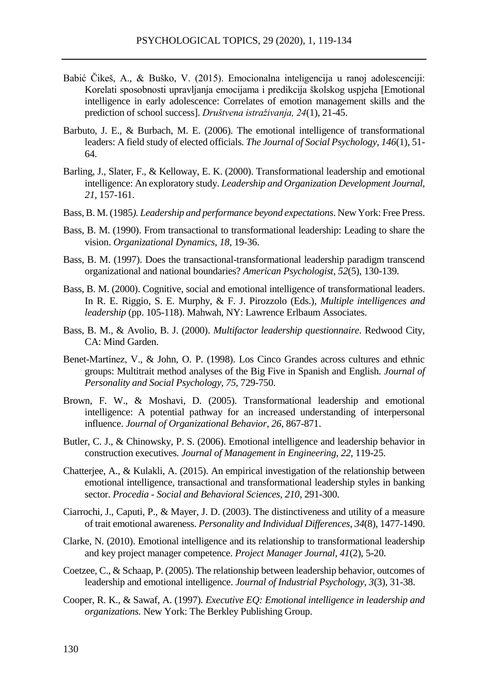- Babić Čikeš, A., & Buško, V. (2015). Emocionalna inteligencija u ranoj adolescenciji: Korelati sposobnosti upravljanja emocijama i predikcija školskog uspjeha [Emotional intelligence in early adolescence: Correlates of emotion management skills and the prediction of school success]. *Društvena istraživanja, 24*(1), 21-45.
- Barbuto, J. E., & Burbach, M. E. (2006). The emotional intelligence of transformational leaders: A field study of elected officials. *The Journal of Social Psychology*, *146*(1), 51- 64.
- Barling, J., Slater, F., & Kelloway, E. K. (2000). Transformational leadership and emotional intelligence: An exploratory study. *Leadership and Organization Development Journal, 21,* 157-161.
- Bass, B. M. (1985*). Leadership and performance beyond expectations*. New York: Free Press.
- Bass, B. M. (1990). From transactional to transformational leadership: Leading to share the vision. *Organizational Dynamics, 18*, 19-36.
- Bass, B. M. (1997). Does the transactional-transformational leadership paradigm transcend organizational and national boundaries? *American Psychologist*, *52*(5), 130-139.
- Bass, B. M. (2000). Cognitive, social and emotional intelligence of transformational leaders. In R. E. Riggio, S. E. Murphy, & F. J. Pirozzolo (Eds.), *Multiple intelligences and leadership* (pp. 105-118). Mahwah, NY: Lawrence Erlbaum Associates.
- Bass, B. M., & Avolio, B. J. (2000). *Multifactor leadership questionnaire*. Redwood City, CA: Mind Garden.
- Benet-Martínez, V., & John, O. P. (1998). Los Cinco Grandes across cultures and ethnic groups: Multitrait method analyses of the Big Five in Spanish and English. *Journal of Personality and Social Psychology, 75,* 729-750.
- Brown, F. W., & Moshavi, D. (2005). Transformational leadership and emotional intelligence: A potential pathway for an increased understanding of interpersonal influence. *Journal of Organizational Behavior*, *26*, 867-871.
- Butler, C. J., & Chinowsky, P. S. (2006). Emotional intelligence and leadership behavior in construction executives. *Journal of Management in Engineering*, *22,* 119-25.
- Chatterjee, A., & Kulakli, A. (2015). An empirical investigation of the relationship between emotional intelligence, transactional and transformational leadership styles in banking sector. *Procedia - Social and Behavioral Sciences*, *210*, 291-300.
- Ciarrochi, J., Caputi, P., & Mayer, J. D. (2003). The distinctiveness and utility of a measure of trait emotional awareness. *Personality and Individual Differences*, *34*(8), 1477-1490.
- Clarke, N. (2010). Emotional intelligence and its relationship to transformational leadership and key project manager competence. *Project Manager Journal*, *41*(2), 5-20.
- Coetzee, C., & Schaap, P. (2005). The relationship between leadership behavior, outcomes of leadership and emotional intelligence. *Journal of Industrial Psychology*, *3*(3), 31-38.
- Cooper, R. K., & Sawaf, A. (1997). *Executive EQ: Emotional intelligence in leadership and organizations.* New York: The Berkley Publishing Group.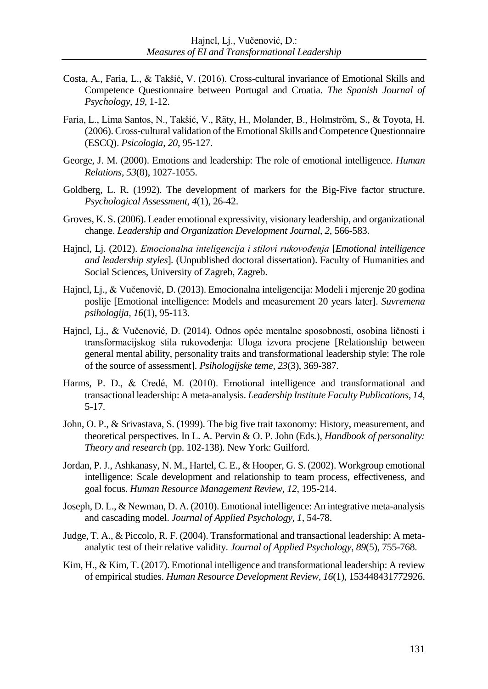- Costa, A., Faria, L., & Takšić, V. (2016). Cross-cultural invariance of Emotional Skills and Competence Questionnaire between Portugal and Croatia. *The Spanish Journal of Psychology*, *19,* 1-12.
- Faria, L., Lima Santos, N., Takšić, V., Räty, H., Molander, B., Holmström, S., & Toyota, H. (2006). Cross-cultural validation of the Emotional Skills and Competence Questionnaire (ESCQ). *Psicologia*, *20*, 95-127.
- George, J. M. (2000). Emotions and leadership: The role of emotional intelligence. *Human Relations*, *53*(8), 1027-1055.
- Goldberg, L. R. (1992). The development of markers for the Big-Five factor structure. *Psychological Assessment*, *4*(1), 26-42.
- Groves, K. S. (2006). Leader emotional expressivity, visionary leadership, and organizational change. *Leadership and Organization Development Journal*, *2,* 566-583.
- Hajncl, Lj. (2012). *Emocionalna inteligencija i stilovi rukovođenja* [*Emotional intelligence and leadership styles*]*.* (Unpublished doctoral dissertation). Faculty of Humanities and Social Sciences, University of Zagreb, Zagreb.
- Hajncl, Lj., & Vučenović, D. (2013). Emocionalna inteligencija: Modeli i mjerenje 20 godina poslije [Emotional intelligence: Models and measurement 20 years later]. *Suvremena psihologija, 16*(1), 95-113.
- Hajncl, Lj., & Vučenović, D. (2014). Odnos opće mentalne sposobnosti, osobina ličnosti i transformacijskog stila rukovođenja: Uloga izvora procjene [Relationship between general mental ability, personality traits and transformational leadership style: The role of the source of assessment]. *Psihologijske teme, 23*(3), 369-387.
- Harms, P. D., & Credé, M. (2010). Emotional intelligence and transformational and transactional leadership: A meta-analysis. *Leadership Institute Faculty Publications*, *14,* 5-17.
- John, O. P., & Srivastava, S. (1999). The big five trait taxonomy: History, measurement, and theoretical perspectives. In L. A. Pervin & O. P. John (Eds.), *Handbook of personality: Theory and research* (pp. 102-138). New York: Guilford.
- Jordan, P. J., Ashkanasy, N. M., Hartel, C. E., & Hooper, G. S. (2002). Workgroup emotional intelligence: Scale development and relationship to team process, effectiveness, and goal focus. *Human Resource Management Review*, *12*, 195-214.
- Joseph, D. L., & Newman, D. A. (2010). Emotional intelligence: An integrative meta-analysis and cascading model. *Journal of Applied Psychology, 1*, 54-78.
- Judge, T. A., & Piccolo, R. F. (2004). Transformational and transactional leadership: A metaanalytic test of their relative validity. *Journal of Applied Psychology*, *89*(5), 755-768.
- Kim, H., & Kim, T. (2017). Emotional intelligence and transformational leadership: A review of empirical studies. *Human Resource Development Review, 16*(1), 153448431772926.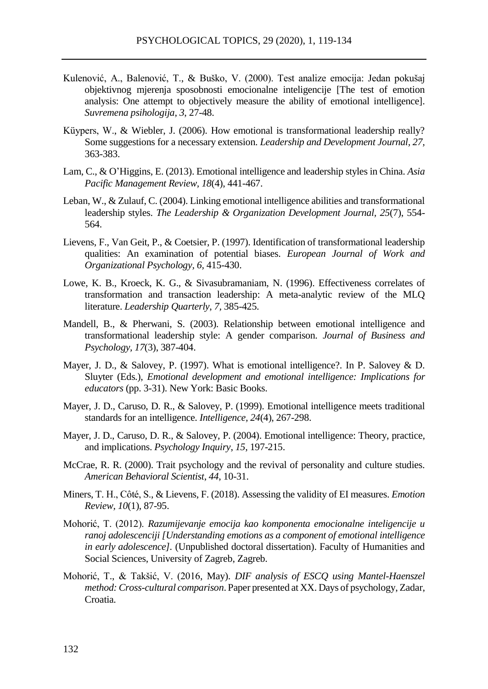- Kulenović, A., Balenović, T., & Buško, V. (2000). Test analize emocija: Jedan pokušaj objektivnog mjerenja sposobnosti emocionalne inteligencije [The test of emotion analysis: One attempt to objectively measure the ability of emotional intelligence]. *Suvremena psihologija*, *3*, 27-48.
- Küypers, W., & Wiebler, J. (2006). How emotional is transformational leadership really? Some suggestions for a necessary extension. *Leadership and Development Journal, 27,* 363-383.
- Lam, C., & O'Higgins, E. (2013). Emotional intelligence and leadership styles in China. *Asia Pacific Management Review, 18*(4), 441-467.
- Leban, W., & Zulauf, C. (2004). Linking emotional intelligence abilities and transformational leadership styles. *The Leadership & Organization Development Journal, 25*(7), 554- 564.
- Lievens, F., Van Geit, P., & Coetsier, P. (1997). Identification of transformational leadership qualities: An examination of potential biases. *European Journal of Work and Organizational Psychology, 6,* 415-430.
- Lowe, K. B., Kroeck, K. G., & Sivasubramaniam, N. (1996). Effectiveness correlates of transformation and transaction leadership: A meta-analytic review of the MLQ literature. *Leadership Quarterly*, *7,* 385-425.
- Mandell, B., & Pherwani, S. (2003). Relationship between emotional intelligence and transformational leadership style: A gender comparison. *Journal of Business and Psychology, 17*(3), 387-404.
- Mayer, J. D., & Salovey, P. (1997). What is emotional intelligence?. In P. Salovey & D. Sluyter (Eds.), *Emotional development and emotional intelligence: Implications for educators* (pp. 3-31). New York: Basic Books.
- Mayer, J. D., Caruso, D. R., & Salovey, P. (1999). Emotional intelligence meets traditional standards for an intelligence. *Intelligence, 24*(4), 267-298.
- Mayer, J. D., Caruso, D. R., & Salovey, P. (2004). Emotional intelligence: Theory, practice, and implications. *Psychology Inquiry*, *15,* 197-215.
- McCrae, R. R. (2000). Trait psychology and the revival of personality and culture studies. *American Behavioral Scientist*, *44*, 10-31.
- Miners, T. H., Côté, S., & Lievens, F. (2018). Assessing the validity of EI measures. *Emotion Review, 10*(1), 87-95.
- Mohorić, T. (2012). *Razumijevanje emocija kao komponenta emocionalne inteligencije u ranoj adolescenciji [Understanding emotions as a component of emotional intelligence in early adolescence].* (Unpublished doctoral dissertation). Faculty of Humanities and Social Sciences, University of Zagreb, Zagreb.
- Mohorić, T., & Takšić, V. (2016, May). *DIF analysis of ESCQ using Mantel-Haenszel method: Cross-cultural comparison*. Paper presented at XX. Days of psychology, Zadar, Croatia.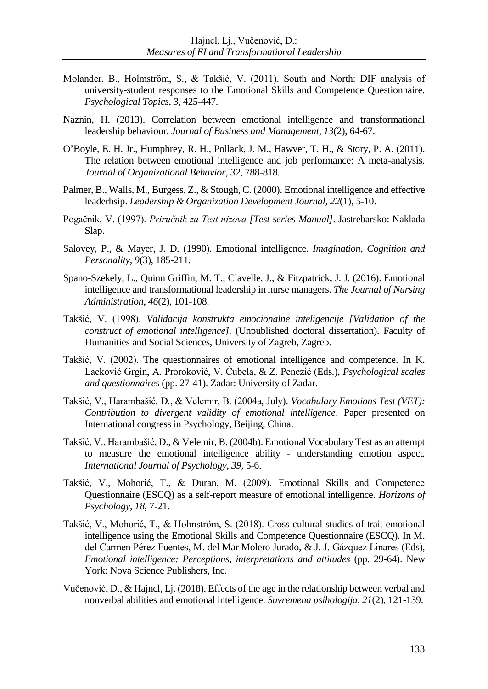- Molander, B., Holmström, S., & Takšić, V. (2011). South and North: DIF analysis of university-student responses to the Emotional Skills and Competence Questionnaire. *Psychological Topics*, *3*, 425-447.
- Naznin, H. (2013). Correlation between emotional intelligence and transformational leadership behaviour. *Journal of Business and Management*, *13*(2), 64-67.
- O'Boyle, E. H. Jr., Humphrey, R. H., Pollack, J. M., Hawver, T. H., & Story, P. A. (2011). The relation between emotional intelligence and job performance: A meta-analysis. *Journal of Organizational Behavior, 32*, 788-818*.*
- Palmer, B., Walls, M., Burgess, Z., & Stough, C. (2000). Emotional intelligence and effective leaderhsip. *Leadership & Organization Development Journal, 22*(1), 5-10.
- Pogačnik, V. (1997). *Priručnik za Test nizova [Test series Manual]*. Jastrebarsko: Naklada Slap.
- Salovey, P., & Mayer, J. D. (1990). Emotional intelligence. *Imagination, Cognition and Personality*, *9*(3), 185-211.
- [Spano-Szekely,](https://www.ncbi.nlm.nih.gov/pubmed/?term=Spano-Szekely%20L%5BAuthor%5D&cauthor=true&cauthor_uid=26796823) L., [Quinn Griffin,](https://www.ncbi.nlm.nih.gov/pubmed/?term=Quinn%20Griffin%20MT%5BAuthor%5D&cauthor=true&cauthor_uid=26796823) M. T., [Clavelle,](https://www.ncbi.nlm.nih.gov/pubmed/?term=Clavelle%20J%5BAuthor%5D&cauthor=true&cauthor_uid=26796823) J., & [Fitzpatrick](https://www.ncbi.nlm.nih.gov/pubmed/?term=Fitzpatrick%20JJ%5BAuthor%5D&cauthor=true&cauthor_uid=26796823)**,** J. J. (2016). Emotional intelligence and transformational leadership in nurse managers. *The Journal of Nursing Administration*, *46*(2), 101-108.
- Takšić, V. (1998). *Validacija konstrukta emocionalne inteligencije [Validation of the construct of emotional intelligence].* (Unpublished doctoral dissertation). Faculty of Humanities and Social Sciences, University of Zagreb, Zagreb.
- Takšić, V. (2002). The questionnaires of emotional intelligence and competence. In K. Lacković Grgin, A. Proroković, V. Ćubela, & Z. Penezić (Eds.), *Psychological scales and questionnaires* (pp. 27-41). Zadar: University of Zadar.
- Takšić, V., Harambašić, D., & Velemir, B. (2004a, July). *Vocabulary Emotions Test (VET): Contribution to divergent validity of emotional intelligence*. Paper presented on International congress in Psychology, Beijing, China.
- Takšić, V., Harambašić, D., & Velemir, B. (2004b). Emotional Vocabulary Test as an attempt to measure the emotional intelligence ability - understanding emotion aspect. *International Journal of Psychology*, *39,* 5-6.
- Takšić, V., Mohorić, T., & Duran, M. (2009). Emotional Skills and Competence Questionnaire (ESCQ) as a self-report measure of emotional intelligence. *Horizons of Psychology*, *18*, 7-21.
- Takšić, V., Mohorić, T., & Holmström, S. (2018). Cross-cultural studies of trait emotional intelligence using the Emotional Skills and Competence Questionnaire (ESCQ). In M. del Carmen Pérez Fuentes, M. del Mar Molero Jurado, & J. J. Gázquez Linares (Eds), *Emotional intelligence: Perceptions, interpretations and attitudes* (pp. 29-64). New York: Nova Science Publishers, Inc.
- Vučenović, D., & Hajncl, Lj. (2018). Effects of the age in the relationship between verbal and nonverbal abilities and emotional intelligence. *Suvremena psihologija*, *21*(2), 121-139.